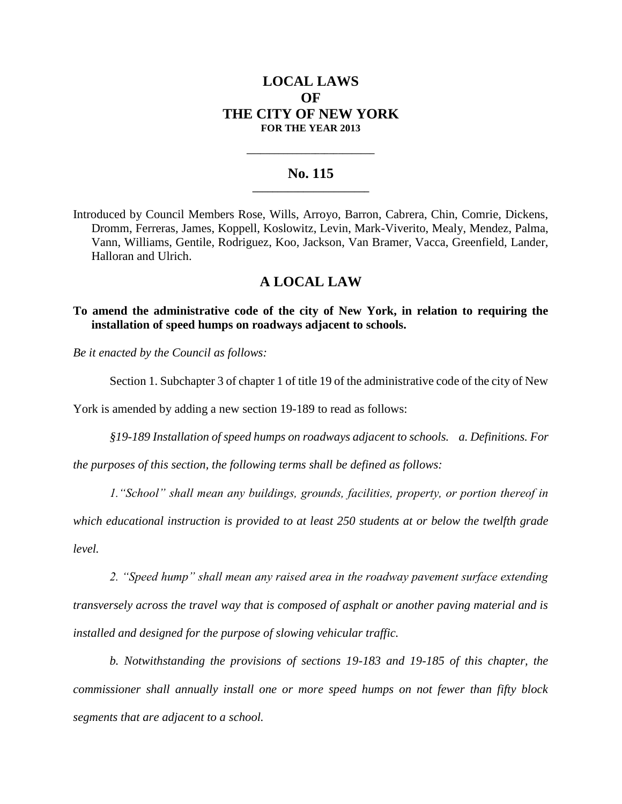# **LOCAL LAWS OF THE CITY OF NEW YORK FOR THE YEAR 2013**

### **No. 115 \_\_\_\_\_\_\_\_\_\_\_\_\_\_\_\_\_\_\_\_\_\_\_**

**\_\_\_\_\_\_\_\_\_\_\_\_\_\_\_\_\_\_\_\_\_\_\_\_\_\_\_\_**

Introduced by Council Members Rose, Wills, Arroyo, Barron, Cabrera, Chin, Comrie, Dickens, Dromm, Ferreras, James, Koppell, Koslowitz, Levin, Mark-Viverito, Mealy, Mendez, Palma, Vann, Williams, Gentile, Rodriguez, Koo, Jackson, Van Bramer, Vacca, Greenfield, Lander, Halloran and Ulrich.

## **A LOCAL LAW**

**To amend the administrative code of the city of New York, in relation to requiring the installation of speed humps on roadways adjacent to schools.** 

*Be it enacted by the Council as follows:*

Section 1. Subchapter 3 of chapter 1 of title 19 of the administrative code of the city of New

York is amended by adding a new section 19-189 to read as follows:

*§19-189 Installation of speed humps on roadways adjacent to schools. a. Definitions. For* 

*the purposes of this section, the following terms shall be defined as follows:*

*1."School" shall mean any buildings, grounds, facilities, property, or portion thereof in which educational instruction is provided to at least 250 students at or below the twelfth grade level.*

*2. "Speed hump" shall mean any raised area in the roadway pavement surface extending transversely across the travel way that is composed of asphalt or another paving material and is installed and designed for the purpose of slowing vehicular traffic.*

*b. Notwithstanding the provisions of sections 19-183 and 19-185 of this chapter, the commissioner shall annually install one or more speed humps on not fewer than fifty block segments that are adjacent to a school.*